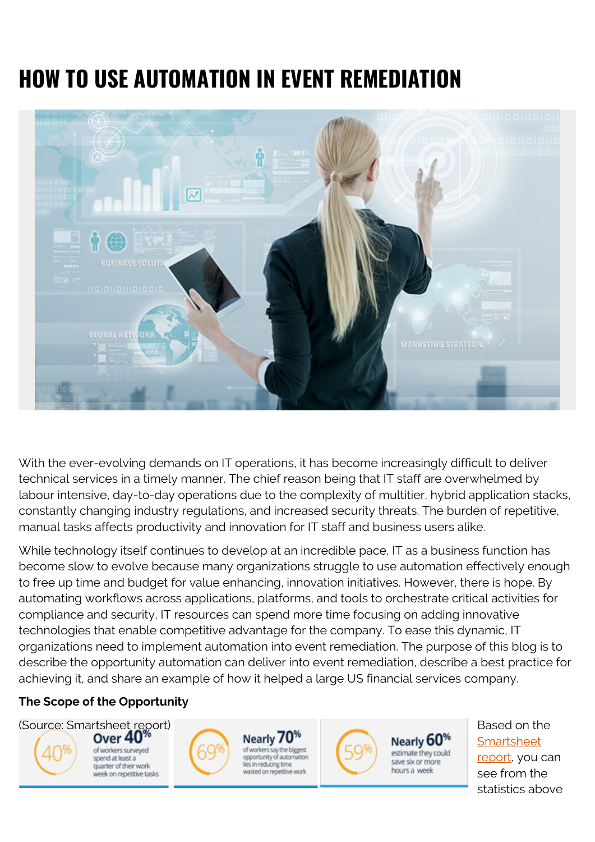# **HOW TO USE AUTOMATION IN EVENT REMEDIATION**



With the ever-evolving demands on IT operations, it has become increasingly difficult to deliver technical services in a timely manner. The chief reason being that IT staff are overwhelmed by labour intensive, day-to-day operations due to the complexity of multitier, hybrid application stacks, constantly changing industry regulations, and increased security threats. The burden of repetitive, manual tasks affects productivity and innovation for IT staff and business users alike.

While technology itself continues to develop at an incredible pace, IT as a business function has become slow to evolve because many organizations struggle to use automation effectively enough to free up time and budget for value enhancing, innovation initiatives. However, there is hope. By automating workflows across applications, platforms, and tools to orchestrate critical activities for compliance and security, IT resources can spend more time focusing on adding innovative technologies that enable competitive advantage for the company. To ease this dynamic, IT organizations need to implement automation into event remediation. The purpose of this blog is to describe the opportunity automation can deliver into event remediation, describe a best practice for achieving it, and share an example of how it helped a large US financial services company.

### **The Scope of the Opportunity**



**[Smartsheet](https://www.smartsheet.com/blog/workers-waste-quarter-work-week-manual-repetitive-tasks)** [report,](https://www.smartsheet.com/blog/workers-waste-quarter-work-week-manual-repetitive-tasks) you can see from the statistics above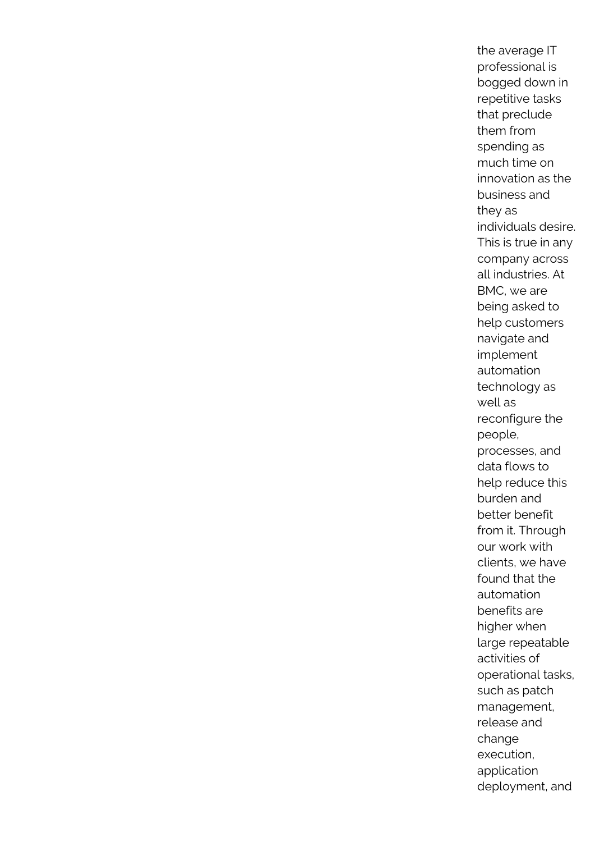the average IT professional is bogged down in repetitive tasks that preclude them from spending as much time on innovation as the business and they as individuals desire. This is true in any company across all industries. At BMC, we are being asked to help customers navigate and implement automation technology as well as reconfigure the people, processes, and data flows to help reduce this burden and better benefit from it. Through our work with clients, we have found that the automation benefits are higher when large repeatable activities of operational tasks, such as patch management, release and change execution, application deployment, and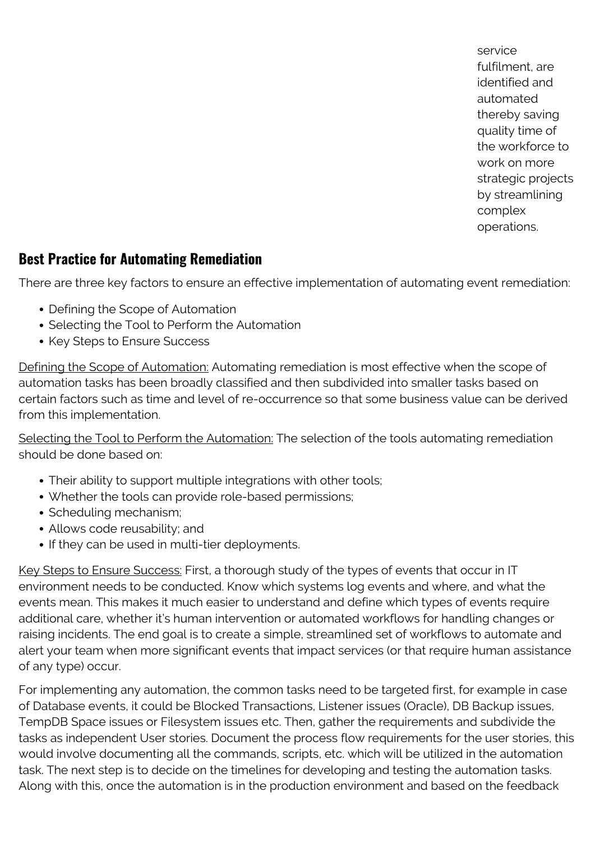service fulfilment, are identified and automated thereby saving quality time of the workforce to work on more strategic projects by streamlining complex operations.

## **Best Practice for Automating Remediation**

There are three key factors to ensure an effective implementation of automating event remediation:

- Defining the Scope of Automation
- Selecting the Tool to Perform the Automation
- Key Steps to Ensure Success

Defining the Scope of Automation: Automating remediation is most effective when the scope of automation tasks has been broadly classified and then subdivided into smaller tasks based on certain factors such as time and level of re-occurrence so that some business value can be derived from this implementation.

Selecting the Tool to Perform the Automation: The selection of the tools automating remediation should be done based on:

- Their ability to support multiple integrations with other tools;
- Whether the tools can provide role-based permissions;
- Scheduling mechanism;
- Allows code reusability; and
- If they can be used in multi-tier deployments.

Key Steps to Ensure Success: First, a thorough study of the types of events that occur in IT environment needs to be conducted. Know which systems log events and where, and what the events mean. This makes it much easier to understand and define which types of events require additional care, whether it's human intervention or automated workflows for handling changes or raising incidents. The end goal is to create a simple, streamlined set of workflows to automate and alert your team when more significant events that impact services (or that require human assistance of any type) occur.

For implementing any automation, the common tasks need to be targeted first, for example in case of Database events, it could be Blocked Transactions, Listener issues (Oracle), DB Backup issues, TempDB Space issues or Filesystem issues etc. Then, gather the requirements and subdivide the tasks as independent User stories. Document the process flow requirements for the user stories, this would involve documenting all the commands, scripts, etc. which will be utilized in the automation task. The next step is to decide on the timelines for developing and testing the automation tasks. Along with this, once the automation is in the production environment and based on the feedback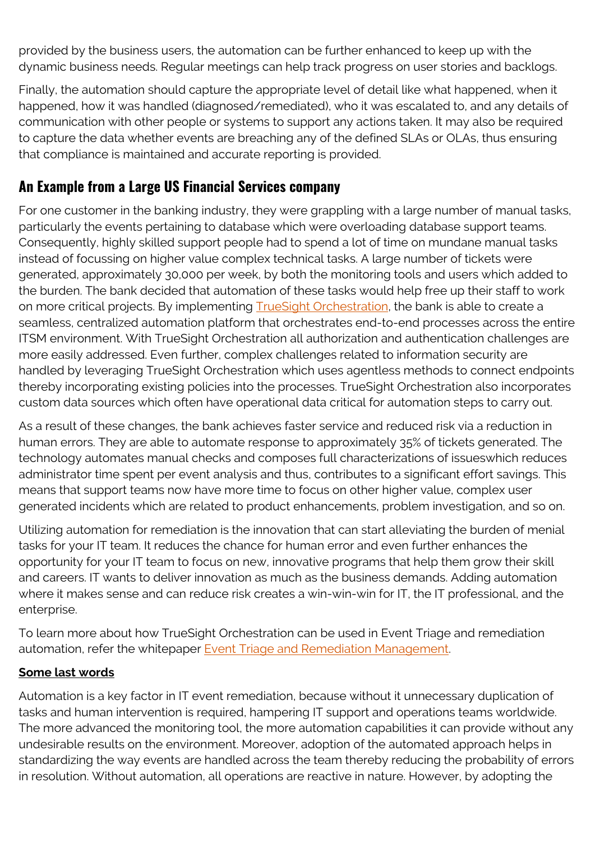provided by the business users, the automation can be further enhanced to keep up with the dynamic business needs. Regular meetings can help track progress on user stories and backlogs.

Finally, the automation should capture the appropriate level of detail like what happened, when it happened, how it was handled (diagnosed/remediated), who it was escalated to, and any details of communication with other people or systems to support any actions taken. It may also be required to capture the data whether events are breaching any of the defined SLAs or OLAs, thus ensuring that compliance is maintained and accurate reporting is provided.

# **An Example from a Large US Financial Services company**

For one customer in the banking industry, they were grappling with a large number of manual tasks, particularly the events pertaining to database which were overloading database support teams. Consequently, highly skilled support people had to spend a lot of time on mundane manual tasks instead of focussing on higher value complex technical tasks. A large number of tickets were generated, approximately 30,000 per week, by both the monitoring tools and users which added to the burden. The bank decided that automation of these tasks would help free up their staff to work on more critical projects. By implementing **TrueSight Orchestration**, the bank is able to create a seamless, centralized automation platform that orchestrates end-to-end processes across the entire ITSM environment. With TrueSight Orchestration all authorization and authentication challenges are more easily addressed. Even further, complex challenges related to information security are handled by leveraging TrueSight Orchestration which uses agentless methods to connect endpoints thereby incorporating existing policies into the processes. TrueSight Orchestration also incorporates custom data sources which often have operational data critical for automation steps to carry out.

As a result of these changes, the bank achieves faster service and reduced risk via a reduction in human errors. They are able to automate response to approximately 35% of tickets generated. The technology automates manual checks and composes full characterizations of issueswhich reduces administrator time spent per event analysis and thus, contributes to a significant effort savings. This means that support teams now have more time to focus on other higher value, complex user generated incidents which are related to product enhancements, problem investigation, and so on.

Utilizing automation for remediation is the innovation that can start alleviating the burden of menial tasks for your IT team. It reduces the chance for human error and even further enhances the opportunity for your IT team to focus on new, innovative programs that help them grow their skill and careers. IT wants to deliver innovation as much as the business demands. Adding automation where it makes sense and can reduce risk creates a win-win-win for IT, the IT professional, and the enterprise.

To learn more about how TrueSight Orchestration can be used in Event Triage and remediation automation, refer the whitepaper **Event Triage and Remediation Management**.

### **Some last words**

Automation is a key factor in IT event remediation, because without it unnecessary duplication of tasks and human intervention is required, hampering IT support and operations teams worldwide. The more advanced the monitoring tool, the more automation capabilities it can provide without any undesirable results on the environment. Moreover, adoption of the automated approach helps in standardizing the way events are handled across the team thereby reducing the probability of errors in resolution. Without automation, all operations are reactive in nature. However, by adopting the